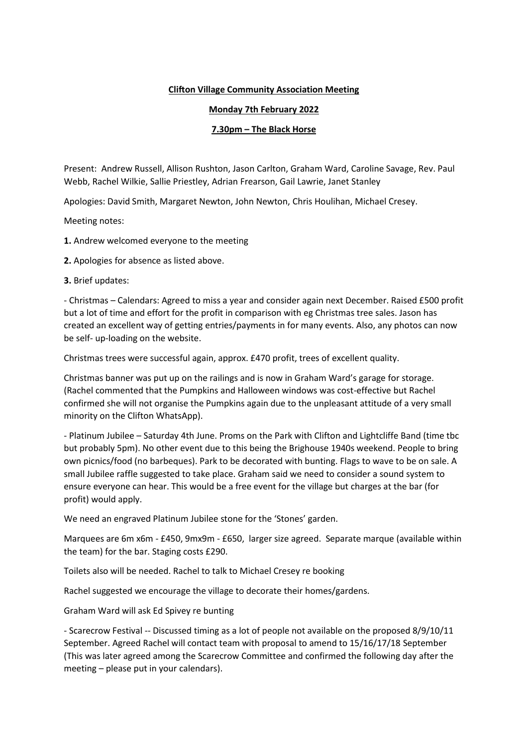## **Clifton Village Community Association Meeting**

## **Monday 7th February 2022**

## **7.30pm – The Black Horse**

Present: Andrew Russell, Allison Rushton, Jason Carlton, Graham Ward, Caroline Savage, Rev. Paul Webb, Rachel Wilkie, Sallie Priestley, Adrian Frearson, Gail Lawrie, Janet Stanley

Apologies: David Smith, Margaret Newton, John Newton, Chris Houlihan, Michael Cresey.

Meeting notes:

**1.** Andrew welcomed everyone to the meeting

**2.** Apologies for absence as listed above.

**3.** Brief updates:

- Christmas – Calendars: Agreed to miss a year and consider again next December. Raised £500 profit but a lot of time and effort for the profit in comparison with eg Christmas tree sales. Jason has created an excellent way of getting entries/payments in for many events. Also, any photos can now be self- up-loading on the website.

Christmas trees were successful again, approx. £470 profit, trees of excellent quality.

Christmas banner was put up on the railings and is now in Graham Ward's garage for storage. (Rachel commented that the Pumpkins and Halloween windows was cost-effective but Rachel confirmed she will not organise the Pumpkins again due to the unpleasant attitude of a very small minority on the Clifton WhatsApp).

- Platinum Jubilee – Saturday 4th June. Proms on the Park with Clifton and Lightcliffe Band (time tbc but probably 5pm). No other event due to this being the Brighouse 1940s weekend. People to bring own picnics/food (no barbeques). Park to be decorated with bunting. Flags to wave to be on sale. A small Jubilee raffle suggested to take place. Graham said we need to consider a sound system to ensure everyone can hear. This would be a free event for the village but charges at the bar (for profit) would apply.

We need an engraved Platinum Jubilee stone for the 'Stones' garden.

Marquees are 6m x6m - £450, 9mx9m - £650, larger size agreed. Separate marque (available within the team) for the bar. Staging costs £290.

Toilets also will be needed. Rachel to talk to Michael Cresey re booking

Rachel suggested we encourage the village to decorate their homes/gardens.

Graham Ward will ask Ed Spivey re bunting

- Scarecrow Festival -- Discussed timing as a lot of people not available on the proposed 8/9/10/11 September. Agreed Rachel will contact team with proposal to amend to 15/16/17/18 September (This was later agreed among the Scarecrow Committee and confirmed the following day after the meeting – please put in your calendars).